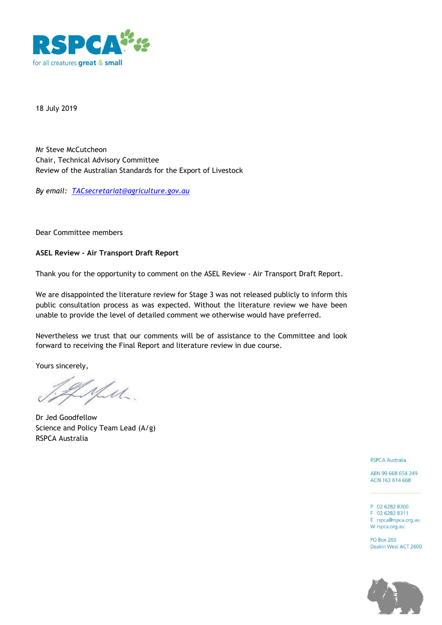

18 July 2019

Mr Steve McCutcheon Chair, Technical Advisory Committee Review of the Australian Standards for the Export of Livestock

*By email: [TACsecretariat@agriculture.gov.au](mailto:TACsecretariat@agriculture.gov.au)*

Dear Committee members

## **ASEL Review – Air Transport Draft Report**

Thank you for the opportunity to comment on the ASEL Review - Air Transport Draft Report.

We are disappointed the literature review for Stage 3 was not released publicly to inform this public consultation process as was expected. Without the literature review we have been unable to provide the level of detailed comment we otherwise would have preferred.

Nevertheless we trust that our comments will be of assistance to the Committee and look forward to receiving the Final Report and literature review in due course.

Yours sincerely,

yen.

Dr Jed Goodfellow Science and Policy Team Lead (A/g) RSPCA Australia

**RSPCA Australia** 

ABN 99 668 654 249 ACN 163 614 668

P 02 6282 8300 F 02 6282 8311 E rspca@rspca.org.au W rspca.org.au

**PO Box 265** Deakin West ACT 2600

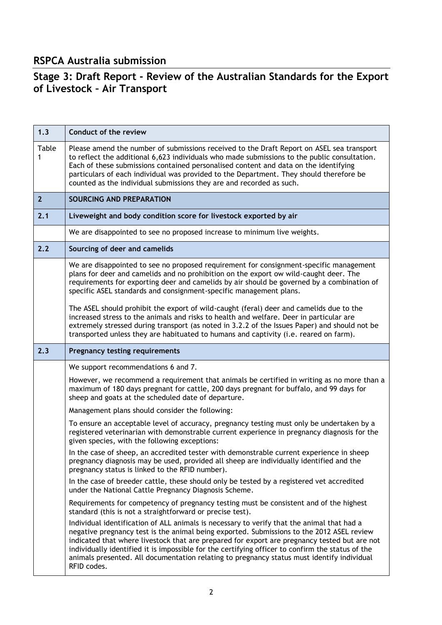## **RSPCA Australia submission**

## **Stage 3: Draft Report - Review of the Australian Standards for the Export of Livestock – Air Transport**

| 1.3            | Conduct of the review                                                                                                                                                                                                                                                                                                                                                                                                                                                                                    |
|----------------|----------------------------------------------------------------------------------------------------------------------------------------------------------------------------------------------------------------------------------------------------------------------------------------------------------------------------------------------------------------------------------------------------------------------------------------------------------------------------------------------------------|
| Table<br>1     | Please amend the number of submissions received to the Draft Report on ASEL sea transport<br>to reflect the additional 6,623 individuals who made submissions to the public consultation.<br>Each of these submissions contained personalised content and data on the identifying<br>particulars of each individual was provided to the Department. They should therefore be<br>counted as the individual submissions they are and recorded as such.                                                     |
| 2 <sup>2</sup> | SOURCING AND PREPARATION                                                                                                                                                                                                                                                                                                                                                                                                                                                                                 |
| 2.1            | Liveweight and body condition score for livestock exported by air                                                                                                                                                                                                                                                                                                                                                                                                                                        |
|                | We are disappointed to see no proposed increase to minimum live weights.                                                                                                                                                                                                                                                                                                                                                                                                                                 |
| 2.2            | Sourcing of deer and camelids                                                                                                                                                                                                                                                                                                                                                                                                                                                                            |
|                | We are disappointed to see no proposed requirement for consignment-specific management<br>plans for deer and camelids and no prohibition on the export ow wild-caught deer. The<br>requirements for exporting deer and camelids by air should be governed by a combination of<br>specific ASEL standards and consignment-specific management plans.                                                                                                                                                      |
|                | The ASEL should prohibit the export of wild-caught (feral) deer and camelids due to the<br>increased stress to the animals and risks to health and welfare. Deer in particular are<br>extremely stressed during transport (as noted in 3.2.2 of the Issues Paper) and should not be<br>transported unless they are habituated to humans and captivity (i.e. reared on farm).                                                                                                                             |
| 2.3            | <b>Pregnancy testing requirements</b>                                                                                                                                                                                                                                                                                                                                                                                                                                                                    |
|                | We support recommendations 6 and 7.                                                                                                                                                                                                                                                                                                                                                                                                                                                                      |
|                | However, we recommend a requirement that animals be certified in writing as no more than a<br>maximum of 180 days pregnant for cattle, 200 days pregnant for buffalo, and 99 days for<br>sheep and goats at the scheduled date of departure.                                                                                                                                                                                                                                                             |
|                | Management plans should consider the following:                                                                                                                                                                                                                                                                                                                                                                                                                                                          |
|                | To ensure an acceptable level of accuracy, pregnancy testing must only be undertaken by a<br>registered veterinarian with demonstrable current experience in pregnancy diagnosis for the<br>given species, with the following exceptions:                                                                                                                                                                                                                                                                |
|                | In the case of sheep, an accredited tester with demonstrable current experience in sheep<br>pregnancy diagnosis may be used, provided all sheep are individually identified and the<br>pregnancy status is linked to the RFID number).                                                                                                                                                                                                                                                                   |
|                | In the case of breeder cattle, these should only be tested by a registered vet accredited<br>under the National Cattle Pregnancy Diagnosis Scheme.                                                                                                                                                                                                                                                                                                                                                       |
|                | Requirements for competency of pregnancy testing must be consistent and of the highest<br>standard (this is not a straightforward or precise test).                                                                                                                                                                                                                                                                                                                                                      |
|                | Individual identification of ALL animals is necessary to verify that the animal that had a<br>negative pregnancy test is the animal being exported. Submissions to the 2012 ASEL review<br>indicated that where livestock that are prepared for export are pregnancy tested but are not<br>individually identified it is impossible for the certifying officer to confirm the status of the<br>animals presented. All documentation relating to pregnancy status must identify individual<br>RFID codes. |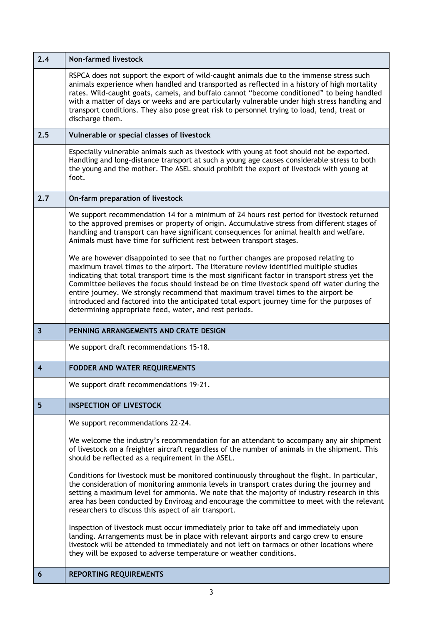| 2.4                     | <b>Non-farmed livestock</b>                                                                                                                                                                                                                                                                                                                                                                                                                                                                                                                                                                                                  |
|-------------------------|------------------------------------------------------------------------------------------------------------------------------------------------------------------------------------------------------------------------------------------------------------------------------------------------------------------------------------------------------------------------------------------------------------------------------------------------------------------------------------------------------------------------------------------------------------------------------------------------------------------------------|
|                         | RSPCA does not support the export of wild-caught animals due to the immense stress such<br>animals experience when handled and transported as reflected in a history of high mortality<br>rates. Wild-caught goats, camels, and buffalo cannot "become conditioned" to being handled<br>with a matter of days or weeks and are particularly vulnerable under high stress handling and<br>transport conditions. They also pose great risk to personnel trying to load, tend, treat or<br>discharge them.                                                                                                                      |
| 2.5                     | Vulnerable or special classes of livestock                                                                                                                                                                                                                                                                                                                                                                                                                                                                                                                                                                                   |
|                         | Especially vulnerable animals such as livestock with young at foot should not be exported.<br>Handling and long-distance transport at such a young age causes considerable stress to both<br>the young and the mother. The ASEL should prohibit the export of livestock with young at<br>foot.                                                                                                                                                                                                                                                                                                                               |
| 2.7                     | On-farm preparation of livestock                                                                                                                                                                                                                                                                                                                                                                                                                                                                                                                                                                                             |
|                         | We support recommendation 14 for a minimum of 24 hours rest period for livestock returned<br>to the approved premises or property of origin. Accumulative stress from different stages of<br>handling and transport can have significant consequences for animal health and welfare.<br>Animals must have time for sufficient rest between transport stages.                                                                                                                                                                                                                                                                 |
|                         | We are however disappointed to see that no further changes are proposed relating to<br>maximum travel times to the airport. The literature review identified multiple studies<br>indicating that total transport time is the most significant factor in transport stress yet the<br>Committee believes the focus should instead be on time livestock spend off water during the<br>entire journey. We strongly recommend that maximum travel times to the airport be<br>introduced and factored into the anticipated total export journey time for the purposes of<br>determining appropriate feed, water, and rest periods. |
|                         |                                                                                                                                                                                                                                                                                                                                                                                                                                                                                                                                                                                                                              |
| $\overline{\mathbf{3}}$ | PENNING ARRANGEMENTS AND CRATE DESIGN                                                                                                                                                                                                                                                                                                                                                                                                                                                                                                                                                                                        |
|                         | We support draft recommendations 15-18.                                                                                                                                                                                                                                                                                                                                                                                                                                                                                                                                                                                      |
| $\overline{\mathbf{4}}$ | <b>FODDER AND WATER REQUIREMENTS</b>                                                                                                                                                                                                                                                                                                                                                                                                                                                                                                                                                                                         |
|                         | We support draft recommendations 19-21.                                                                                                                                                                                                                                                                                                                                                                                                                                                                                                                                                                                      |
| 5                       | <b>INSPECTION OF LIVESTOCK</b>                                                                                                                                                                                                                                                                                                                                                                                                                                                                                                                                                                                               |
|                         | We support recommendations 22-24.                                                                                                                                                                                                                                                                                                                                                                                                                                                                                                                                                                                            |
|                         | We welcome the industry's recommendation for an attendant to accompany any air shipment<br>of livestock on a freighter aircraft regardless of the number of animals in the shipment. This<br>should be reflected as a requirement in the ASEL.                                                                                                                                                                                                                                                                                                                                                                               |
|                         | Conditions for livestock must be monitored continuously throughout the flight. In particular,<br>the consideration of monitoring ammonia levels in transport crates during the journey and<br>setting a maximum level for ammonia. We note that the majority of industry research in this<br>area has been conducted by Enviroag and encourage the committee to meet with the relevant<br>researchers to discuss this aspect of air transport.                                                                                                                                                                               |
|                         | Inspection of livestock must occur immediately prior to take off and immediately upon<br>landing. Arrangements must be in place with relevant airports and cargo crew to ensure<br>livestock will be attended to immediately and not left on tarmacs or other locations where<br>they will be exposed to adverse temperature or weather conditions.                                                                                                                                                                                                                                                                          |